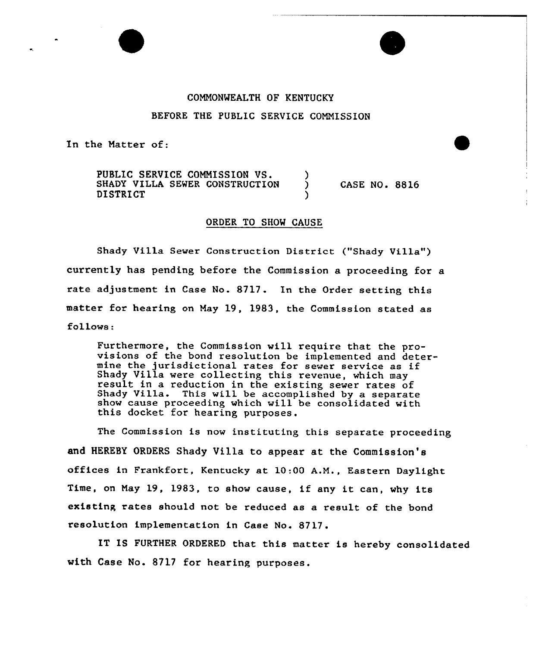## COMMONWEALTH OF KENTUCKY BEFORE THE PUBLIC SERVICE COMMISSION

In the Matter of:

PUBLIC SERVICE COMMISSION VS.  $\left.\rightleftharpoons$  5HADY VILLA SEWER CONSTRUCTION  $\left.\right\rangle$ SHADY VILLA SEWER CONSTRUCTION **DISTRICT** 

**CASE NO. 8816** 

## ORDER TO SHOW CAUSE

Shady Villa Sewer Construction District ("Shady Villa") currently has pending before the Commission a proceeding for a rate adjustment in Case No. 8717. In the Order setting this matter for hearing on May 19, 1983, the Commission stated as follows:

Furthermore, the Commission will require that the provisions of the bond resolution be implemented and detervisions of the bond resolution be implemented and det<br>mine the jurisdictional rates for sewer service as if Shady Villa were collecting this revenue, which may result in a reduction in the existing sewer rates of result in a reduction in the existing sewer rates of<br>Shady Villa. This will be accomplished by a separate show cause proceeding which will be consolidated with this docket for hearing purposes.

The Commission is now instituting this separate proceeding and HEREBY ORDERS Shady Villa to appear at the Commission's offices in Frankfort, Kentucky at 10:00 A.M., Eastern Daylight Time, on May 19, 1983, to show cause, if any it can, why its existing rates should not be reduced as a result of the bond resolution implementation in Case No. 8717.

IT IS FURTHER ORDERED that this matter is hereby consolidated with Case No. 8717 for hearing purposes.